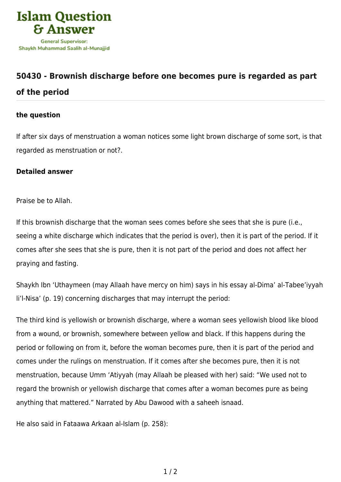

## **[50430 - Brownish discharge before one becomes pure is regarded as part](https://islamqa.com/en/answers/50430/brownish-discharge-before-one-becomes-pure-is-regarded-as-part-of-the-period) [of the period](https://islamqa.com/en/answers/50430/brownish-discharge-before-one-becomes-pure-is-regarded-as-part-of-the-period)**

## **the question**

If after six days of menstruation a woman notices some light brown discharge of some sort, is that regarded as menstruation or not?.

## **Detailed answer**

Praise be to Allah.

If this brownish discharge that the woman sees comes before she sees that she is pure (i.e., seeing a white discharge which indicates that the period is over), then it is part of the period. If it comes after she sees that she is pure, then it is not part of the period and does not affect her praying and fasting.

Shaykh Ibn 'Uthaymeen (may Allaah have mercy on him) says in his essay al-Dima' al-Tabee'iyyah li'l-Nisa' (p. 19) concerning discharges that may interrupt the period:

The third kind is yellowish or brownish discharge, where a woman sees yellowish blood like blood from a wound, or brownish, somewhere between yellow and black. If this happens during the period or following on from it, before the woman becomes pure, then it is part of the period and comes under the rulings on menstruation. If it comes after she becomes pure, then it is not menstruation, because Umm 'Atiyyah (may Allaah be pleased with her) said: "We used not to regard the brownish or yellowish discharge that comes after a woman becomes pure as being anything that mattered." Narrated by Abu Dawood with a saheeh isnaad.

He also said in Fataawa Arkaan al-Islam (p. 258):